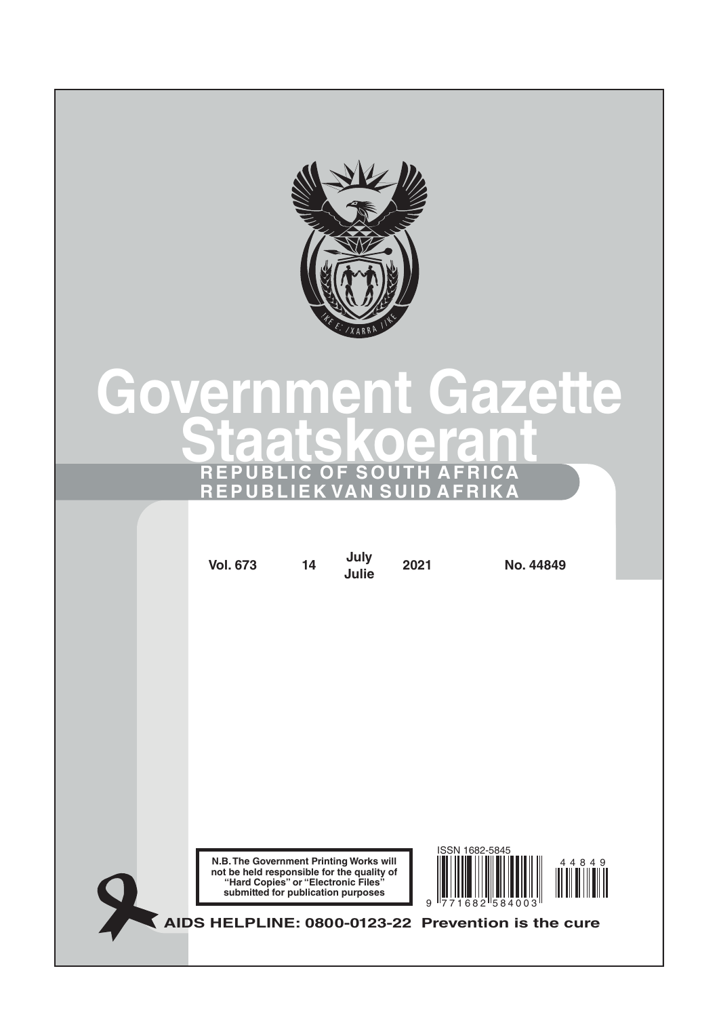

# **Government Gazette Staatskoerant REPUBLIC OF SOUTH AFRICA REPUBLIEK VAN SUID AFRIKA**

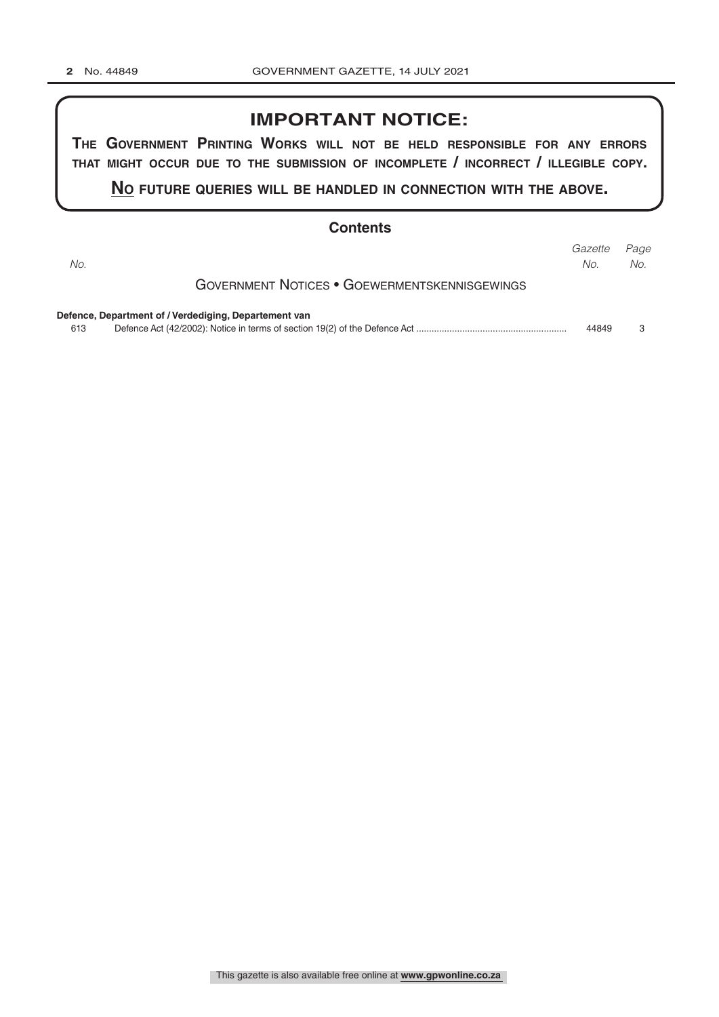### **IMPORTANT NOTICE:**

**The GovernmenT PrinTinG Works Will noT be held resPonsible for any errors ThaT miGhT occur due To The submission of incomPleTe / incorrecT / illeGible coPy.**

**no fuTure queries Will be handled in connecTion WiTh The above.**

#### **Contents**

| No. |                                                       | Gazette<br>No. | Page<br>No. |
|-----|-------------------------------------------------------|----------------|-------------|
|     | <b>GOVERNMENT NOTICES • GOEWERMENTSKENNISGEWINGS</b>  |                |             |
|     | Defence, Department of / Verdediging, Departement van |                |             |
| 613 |                                                       | 44849          |             |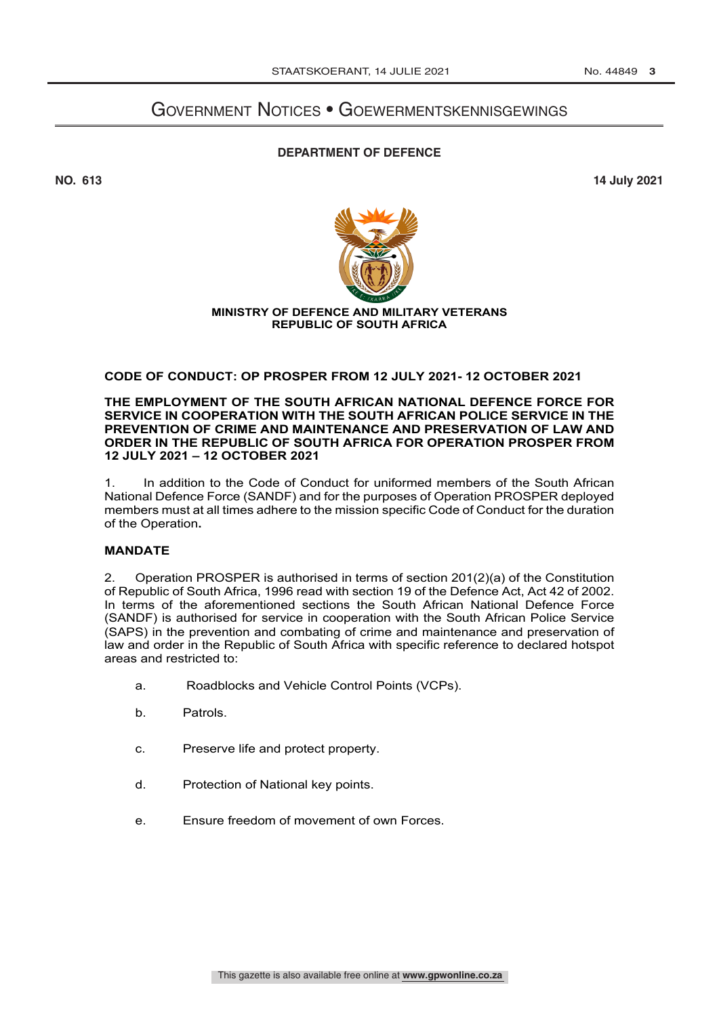## Government Notices • Goewermentskennisgewings

#### **DEPARTMENT OF DEFENCE**

**NO. 613 14 July 2021**



#### **MINISTRY OF DEFENCE AND MILITARY VETERANS REPUBLIC OF SOUTH AFRICA**

#### **CODE OF CONDUCT: OP PROSPER FROM 12 JULY 2021- 12 OCTOBER 2021**

**THE EMPLOYMENT OF THE SOUTH AFRICAN NATIONAL DEFENCE FORCE FOR SERVICE IN COOPERATION WITH THE SOUTH AFRICAN POLICE SERVICE IN THE PREVENTION OF CRIME AND MAINTENANCE AND PRESERVATION OF LAW AND ORDER IN THE REPUBLIC OF SOUTH AFRICA FOR OPERATION PROSPER FROM 12 JULY 2021 – 12 OCTOBER 2021**

1. In addition to the Code of Conduct for uniformed members of the South African National Defence Force (SANDF) and for the purposes of Operation PROSPER deployed members must at all times adhere to the mission specific Code of Conduct for the duration of the Operation**.**

#### **MANDATE**

2. Operation PROSPER is authorised in terms of section 201(2)(a) of the Constitution of Republic of South Africa, 1996 read with section 19 of the Defence Act, Act 42 of 2002. In terms of the aforementioned sections the South African National Defence Force (SANDF) is authorised for service in cooperation with the South African Police Service (SAPS) in the prevention and combating of crime and maintenance and preservation of law and order in the Republic of South Africa with specific reference to declared hotspot areas and restricted to:

- a. Roadblocks and Vehicle Control Points (VCPs).
- b. Patrols.
- c. Preserve life and protect property.
- d. Protection of National key points.
- e. Ensure freedom of movement of own Forces.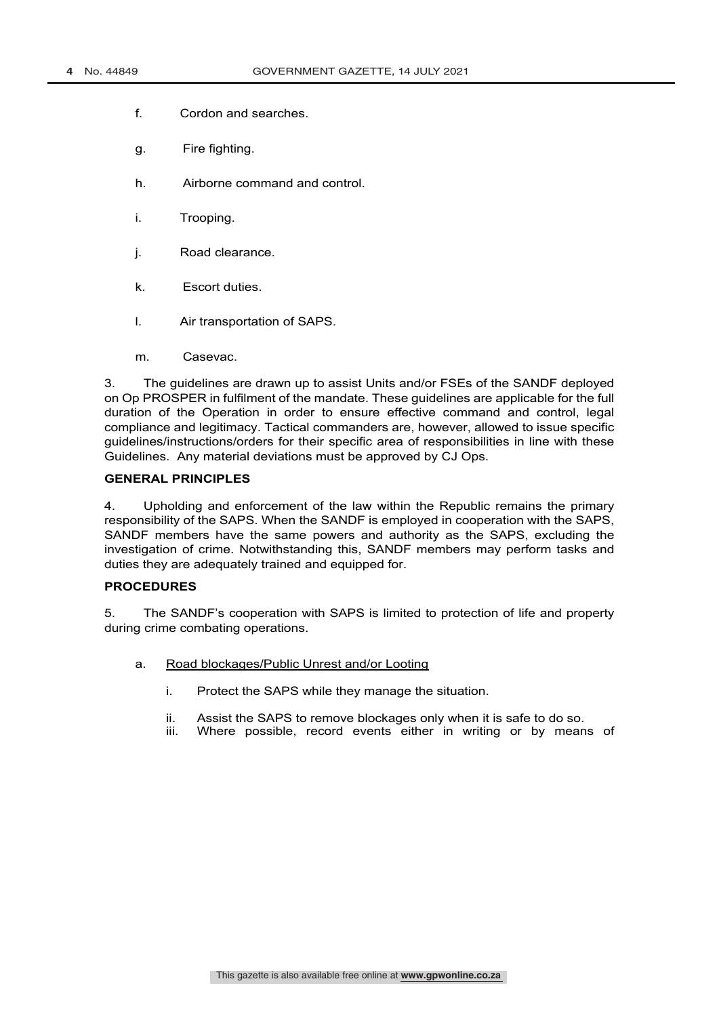- f. Cordon and searches.
- g. Fire fighting.
- h. Airborne command and control.
- i. Trooping.
- j. Road clearance.
- k. Escort duties.
- l. Air transportation of SAPS.
- m. Casevac.

3. The guidelines are drawn up to assist Units and/or FSEs of the SANDF deployed on Op PROSPER in fulfilment of the mandate. These guidelines are applicable for the full duration of the Operation in order to ensure effective command and control, legal compliance and legitimacy. Tactical commanders are, however, allowed to issue specific guidelines/instructions/orders for their specific area of responsibilities in line with these Guidelines. Any material deviations must be approved by CJ Ops.

#### **GENERAL PRINCIPLES**

4. Upholding and enforcement of the law within the Republic remains the primary responsibility of the SAPS. When the SANDF is employed in cooperation with the SAPS, SANDF members have the same powers and authority as the SAPS, excluding the investigation of crime. Notwithstanding this, SANDF members may perform tasks and duties they are adequately trained and equipped for.

#### **PROCEDURES**

5. The SANDF's cooperation with SAPS is limited to protection of life and property during crime combating operations.

- a. Road blockages/Public Unrest and/or Looting
	- i. Protect the SAPS while they manage the situation.
	- ii. Assist the SAPS to remove blockages only when it is safe to do so.
	- iii. Where possible, record events either in writing or by means of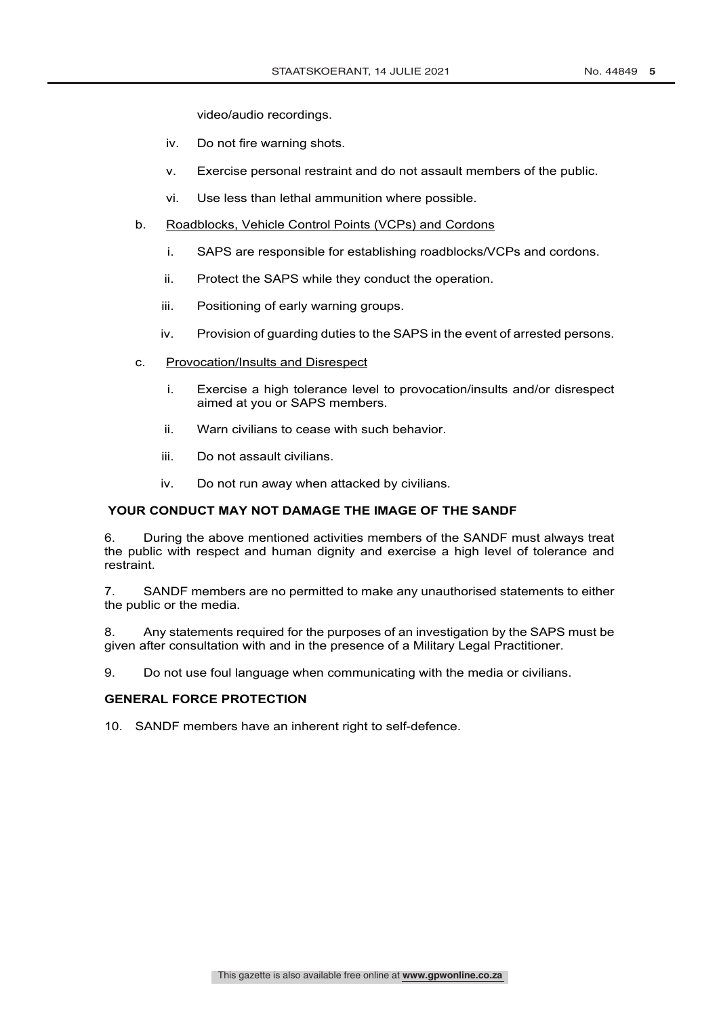video/audio recordings.

- iv. Do not fire warning shots.
- v. Exercise personal restraint and do not assault members of the public.
- vi. Use less than lethal ammunition where possible.
- b. Roadblocks, Vehicle Control Points (VCPs) and Cordons
	- i. SAPS are responsible for establishing roadblocks/VCPs and cordons.
	- ii. Protect the SAPS while they conduct the operation.
	- iii. Positioning of early warning groups.
	- iv. Provision of guarding duties to the SAPS in the event of arrested persons.
- c. Provocation/Insults and Disrespect
	- i. Exercise a high tolerance level to provocation/insults and/or disrespect aimed at you or SAPS members.
	- ii. Warn civilians to cease with such behavior.
	- iii. Do not assault civilians.
	- iv. Do not run away when attacked by civilians.

#### **YOUR CONDUCT MAY NOT DAMAGE THE IMAGE OF THE SANDF**

6. During the above mentioned activities members of the SANDF must always treat the public with respect and human dignity and exercise a high level of tolerance and restraint.

7. SANDF members are no permitted to make any unauthorised statements to either the public or the media.

8. Any statements required for the purposes of an investigation by the SAPS must be given after consultation with and in the presence of a Military Legal Practitioner.

9. Do not use foul language when communicating with the media or civilians.

#### **GENERAL FORCE PROTECTION**

10. SANDF members have an inherent right to self-defence.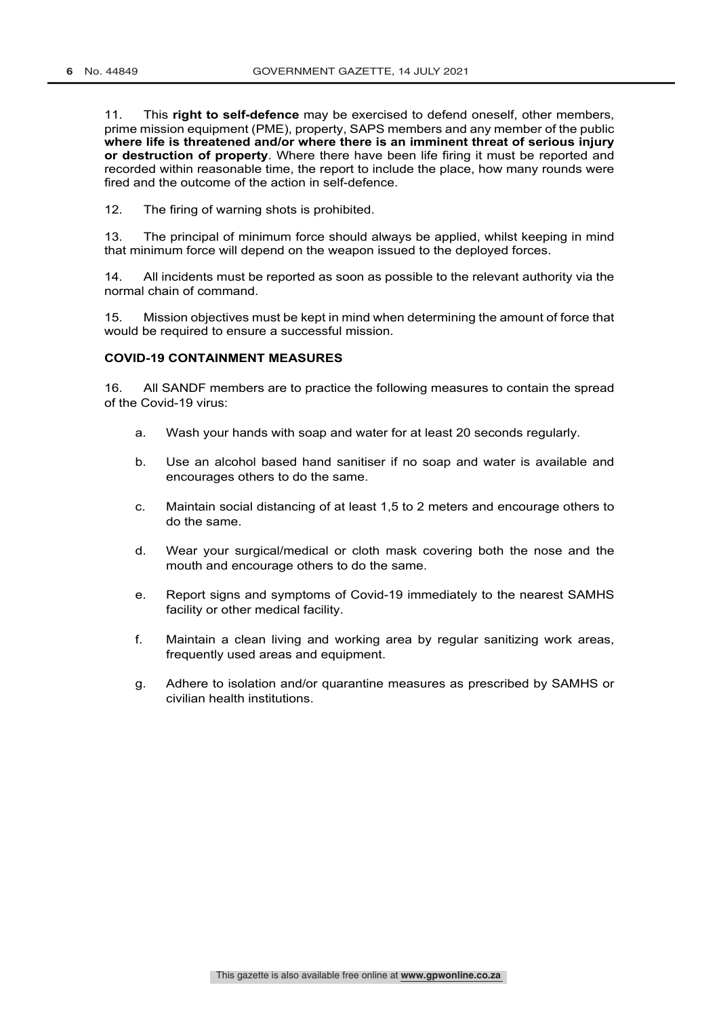11. This **right to self-defence** may be exercised to defend oneself, other members, prime mission equipment (PME), property, SAPS members and any member of the public **where life is threatened and/or where there is an imminent threat of serious injury or destruction of property**. Where there have been life firing it must be reported and recorded within reasonable time, the report to include the place, how many rounds were fired and the outcome of the action in self-defence.

12. The firing of warning shots is prohibited.

13. The principal of minimum force should always be applied, whilst keeping in mind that minimum force will depend on the weapon issued to the deployed forces.

14. All incidents must be reported as soon as possible to the relevant authority via the normal chain of command.

15. Mission objectives must be kept in mind when determining the amount of force that would be required to ensure a successful mission.

#### **COVID-19 CONTAINMENT MEASURES**

16. All SANDF members are to practice the following measures to contain the spread of the Covid-19 virus:

- a. Wash your hands with soap and water for at least 20 seconds regularly.
- b. Use an alcohol based hand sanitiser if no soap and water is available and encourages others to do the same.
- c. Maintain social distancing of at least 1,5 to 2 meters and encourage others to do the same.
- d. Wear your surgical/medical or cloth mask covering both the nose and the mouth and encourage others to do the same.
- e. Report signs and symptoms of Covid-19 immediately to the nearest SAMHS facility or other medical facility.
- f. Maintain a clean living and working area by regular sanitizing work areas, frequently used areas and equipment.
- g. Adhere to isolation and/or quarantine measures as prescribed by SAMHS or civilian health institutions.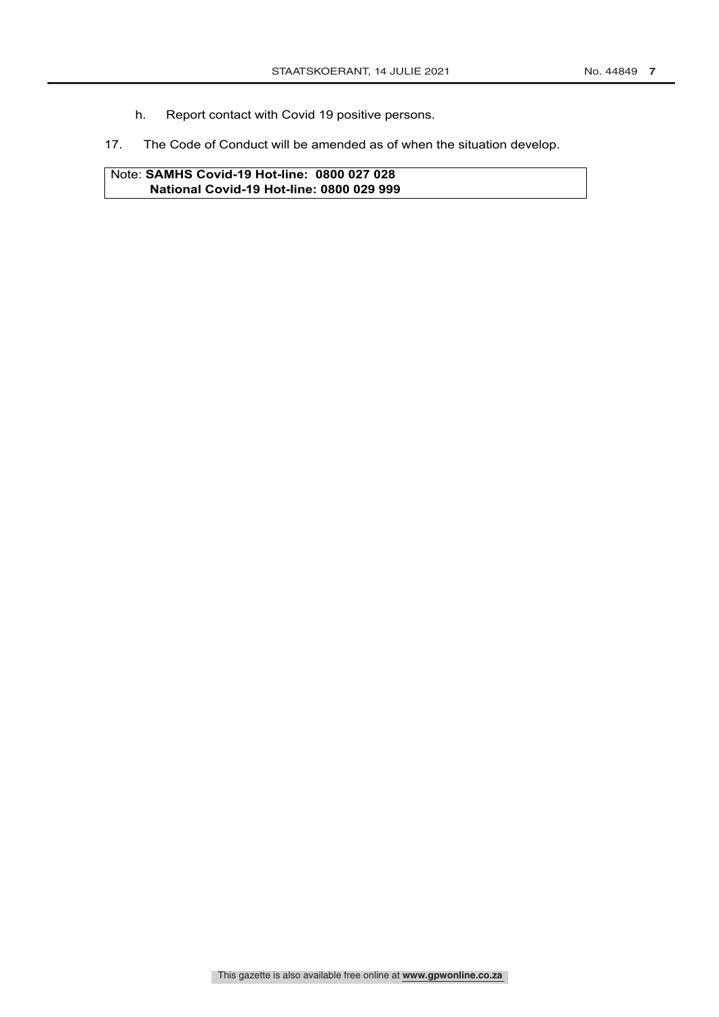- h. Report contact with Covid 19 positive persons.
- 17. The Code of Conduct will be amended as of when the situation develop.

Note: **SAMHS Covid-19 Hot-line: 0800 027 028 National Covid-19 Hot-line: 0800 029 999**